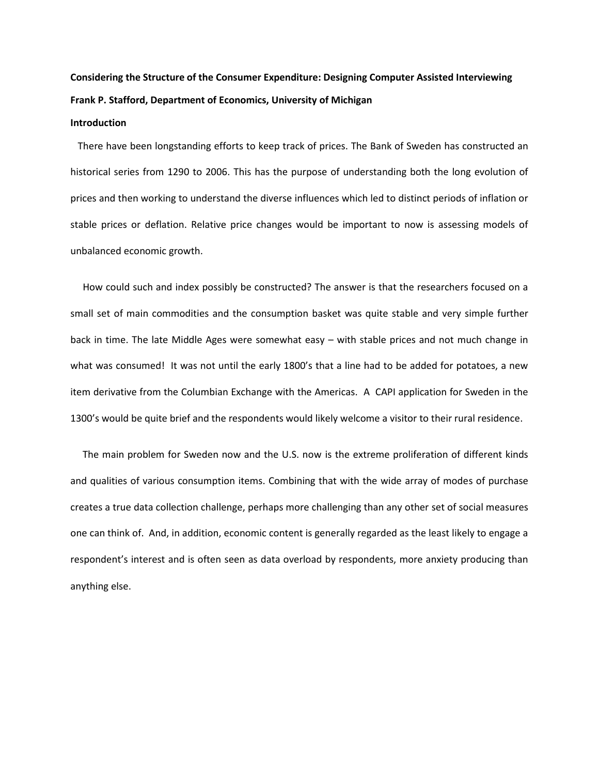# **Considering the Structure of the Consumer Expenditure: Designing Computer Assisted Interviewing Frank P. Stafford, Department of Economics, University of Michigan**

## **Introduction**

 There have been longstanding efforts to keep track of prices. The Bank of Sweden has constructed an historical series from 1290 to 2006. This has the purpose of understanding both the long evolution of prices and then working to understand the diverse influences which led to distinct periods of inflation or stable prices or deflation. Relative price changes would be important to now is assessing models of unbalanced economic growth.

 How could such and index possibly be constructed? The answer is that the researchers focused on a small set of main commodities and the consumption basket was quite stable and very simple further back in time. The late Middle Ages were somewhat easy – with stable prices and not much change in what was consumed! It was not until the early 1800's that a line had to be added for potatoes, a new item derivative from the Columbian Exchange with the Americas. A CAPI application for Sweden in the 1300's would be quite brief and the respondents would likely welcome a visitor to their rural residence.

 The main problem for Sweden now and the U.S. now is the extreme proliferation of different kinds and qualities of various consumption items. Combining that with the wide array of modes of purchase creates a true data collection challenge, perhaps more challenging than any other set of social measures one can think of. And, in addition, economic content is generally regarded as the least likely to engage a respondent's interest and is often seen as data overload by respondents, more anxiety producing than anything else.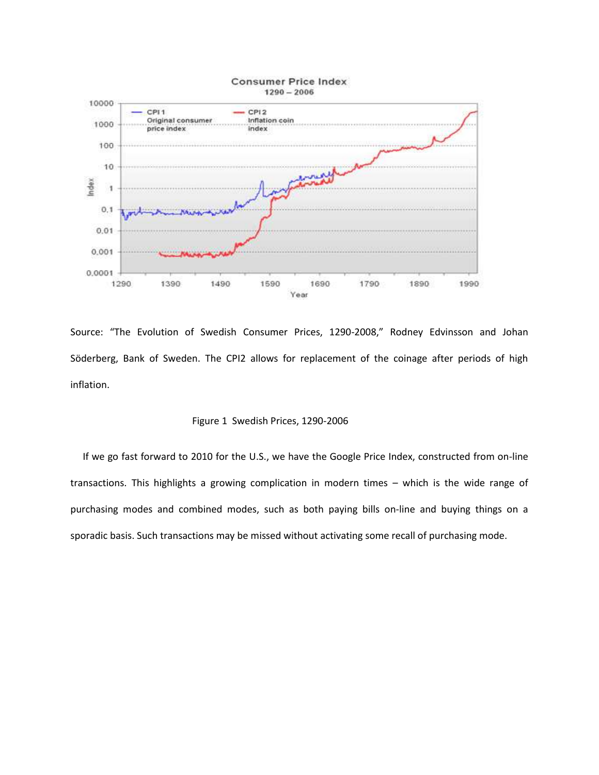

Source: "The Evolution of Swedish Consumer Prices, 1290-2008," Rodney Edvinsson and Johan Söderberg, Bank of Sweden. The CPI2 allows for replacement of the coinage after periods of high inflation.

## Figure 1 Swedish Prices, 1290-2006

 If we go fast forward to 2010 for the U.S., we have the Google Price Index, constructed from on-line transactions. This highlights a growing complication in modern times – which is the wide range of purchasing modes and combined modes, such as both paying bills on-line and buying things on a sporadic basis. Such transactions may be missed without activating some recall of purchasing mode.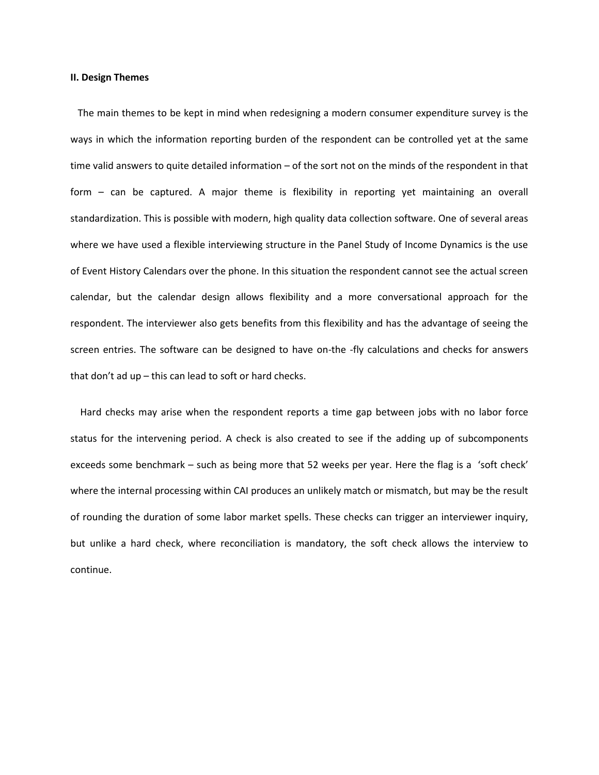#### **II. Design Themes**

 The main themes to be kept in mind when redesigning a modern consumer expenditure survey is the ways in which the information reporting burden of the respondent can be controlled yet at the same time valid answers to quite detailed information – of the sort not on the minds of the respondent in that form – can be captured. A major theme is flexibility in reporting yet maintaining an overall standardization. This is possible with modern, high quality data collection software. One of several areas where we have used a flexible interviewing structure in the Panel Study of Income Dynamics is the use of Event History Calendars over the phone. In this situation the respondent cannot see the actual screen calendar, but the calendar design allows flexibility and a more conversational approach for the respondent. The interviewer also gets benefits from this flexibility and has the advantage of seeing the screen entries. The software can be designed to have on-the -fly calculations and checks for answers that don't ad up – this can lead to soft or hard checks.

 Hard checks may arise when the respondent reports a time gap between jobs with no labor force status for the intervening period. A check is also created to see if the adding up of subcomponents exceeds some benchmark – such as being more that 52 weeks per year. Here the flag is a 'soft check' where the internal processing within CAI produces an unlikely match or mismatch, but may be the result of rounding the duration of some labor market spells. These checks can trigger an interviewer inquiry, but unlike a hard check, where reconciliation is mandatory, the soft check allows the interview to continue.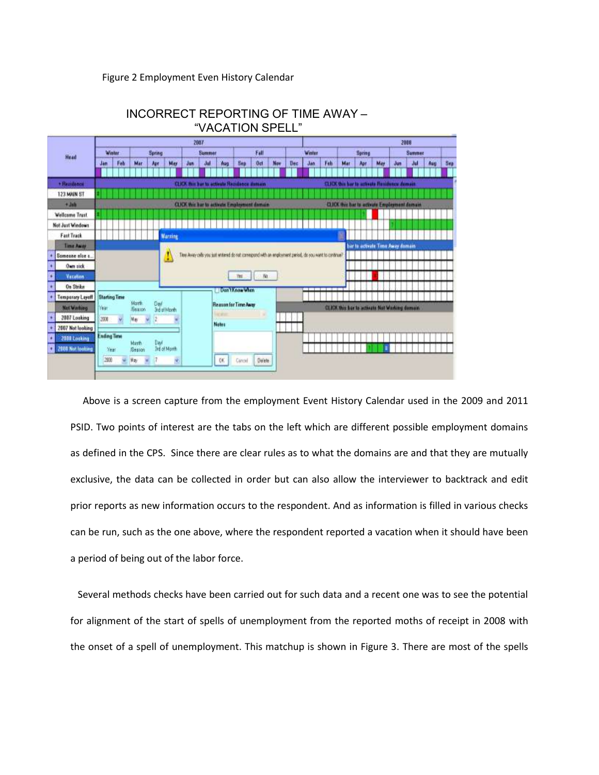## Figure 2 Employment Even History Calendar



# INCORRECT REPORTING OF TIME AWAY – "VACATION SPELL"

 Above is a screen capture from the employment Event History Calendar used in the 2009 and 2011 PSID. Two points of interest are the tabs on the left which are different possible employment domains as defined in the CPS. Since there are clear rules as to what the domains are and that they are mutually exclusive, the data can be collected in order but can also allow the interviewer to backtrack and edit prior reports as new information occurs to the respondent. And as information is filled in various checks can be run, such as the one above, where the respondent reported a vacation when it should have been a period of being out of the labor force.

 Several methods checks have been carried out for such data and a recent one was to see the potential for alignment of the start of spells of unemployment from the reported moths of receipt in 2008 with the onset of a spell of unemployment. This matchup is shown in Figure 3. There are most of the spells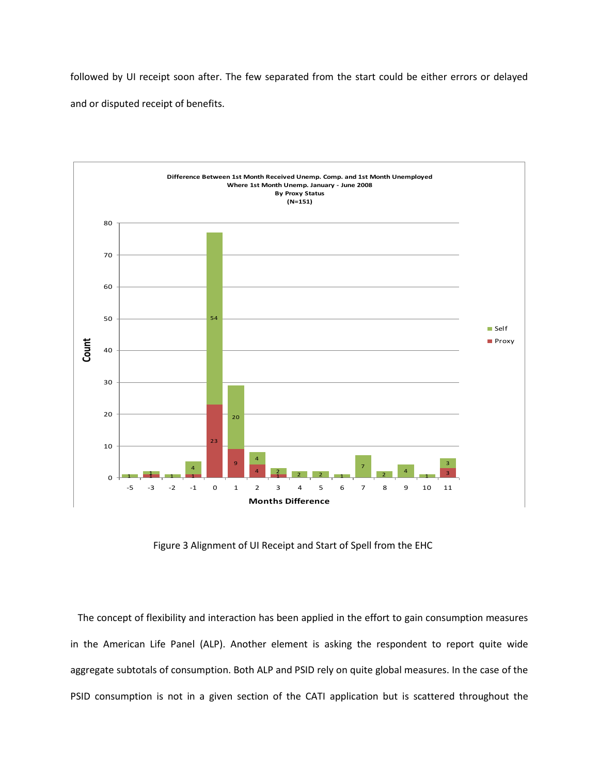followed by UI receipt soon after. The few separated from the start could be either errors or delayed and or disputed receipt of benefits.



Figure 3 Alignment of UI Receipt and Start of Spell from the EHC

 The concept of flexibility and interaction has been applied in the effort to gain consumption measures in the American Life Panel (ALP). Another element is asking the respondent to report quite wide aggregate subtotals of consumption. Both ALP and PSID rely on quite global measures. In the case of the PSID consumption is not in a given section of the CATI application but is scattered throughout the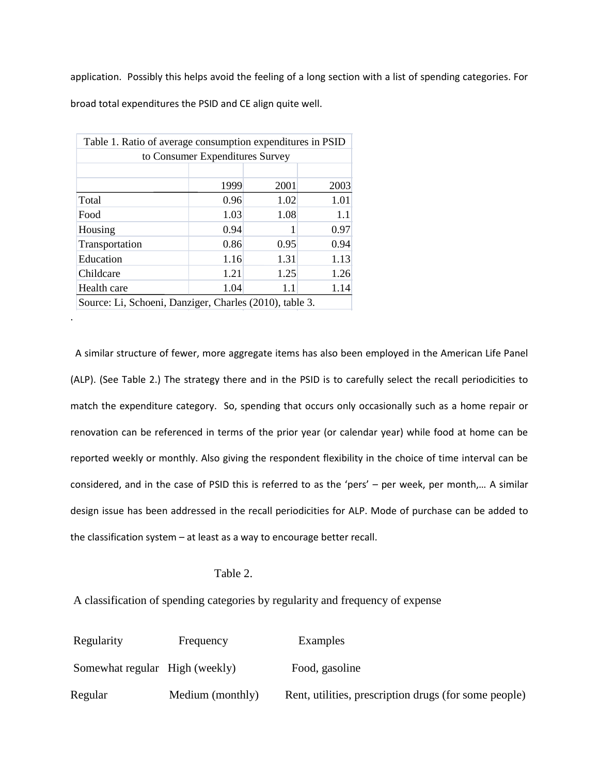application. Possibly this helps avoid the feeling of a long section with a list of spending categories. For broad total expenditures the PSID and CE align quite well.

| Table 1. Ratio of average consumption expenditures in PSID |      |      |      |  |  |
|------------------------------------------------------------|------|------|------|--|--|
| to Consumer Expenditures Survey                            |      |      |      |  |  |
|                                                            |      |      |      |  |  |
|                                                            | 1999 | 2001 | 2003 |  |  |
| Total                                                      | 0.96 | 1.02 | 1.01 |  |  |
| Food                                                       | 1.03 | 1.08 | 1.1  |  |  |
| Housing                                                    | 0.94 |      | 0.97 |  |  |
| Transportation                                             | 0.86 | 0.95 | 0.94 |  |  |
| Education                                                  | 1.16 | 1.31 | 1.13 |  |  |
| Childcare                                                  | 1.21 | 1.25 | 1.26 |  |  |
| Health care                                                | 1.04 | 1.1  | 1.14 |  |  |
| Source: Li, Schoeni, Danziger, Charles (2010), table 3.    |      |      |      |  |  |

.

 A similar structure of fewer, more aggregate items has also been employed in the American Life Panel (ALP). (See Table 2.) The strategy there and in the PSID is to carefully select the recall periodicities to match the expenditure category. So, spending that occurs only occasionally such as a home repair or renovation can be referenced in terms of the prior year (or calendar year) while food at home can be reported weekly or monthly. Also giving the respondent flexibility in the choice of time interval can be considered, and in the case of PSID this is referred to as the 'pers' – per week, per month,… A similar design issue has been addressed in the recall periodicities for ALP. Mode of purchase can be added to the classification system – at least as a way to encourage better recall.

# Table 2.

A classification of spending categories by regularity and frequency of expense

| Regularity                     | Frequency        | Examples                                              |
|--------------------------------|------------------|-------------------------------------------------------|
| Somewhat regular High (weekly) |                  | Food, gasoline                                        |
| Regular                        | Medium (monthly) | Rent, utilities, prescription drugs (for some people) |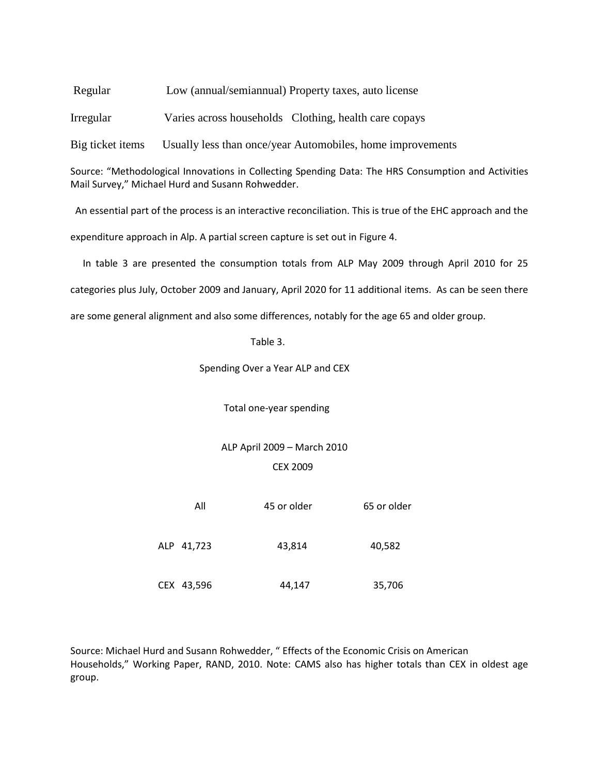Regular Low (annual/semiannual) Property taxes, auto license

Irregular Varies across households Clothing, health care copays

Big ticket items Usually less than once/year Automobiles, home improvements

Source: "Methodological Innovations in Collecting Spending Data: The HRS Consumption and Activities Mail Survey," Michael Hurd and Susann Rohwedder.

 An essential part of the process is an interactive reconciliation. This is true of the EHC approach and the expenditure approach in Alp. A partial screen capture is set out in Figure 4.

 In table 3 are presented the consumption totals from ALP May 2009 through April 2010 for 25 categories plus July, October 2009 and January, April 2020 for 11 additional items. As can be seen there are some general alignment and also some differences, notably for the age 65 and older group.

Table 3.

Spending Over a Year ALP and CEX

Total one-year spending

 ALP April 2009 – March 2010 CEX 2009

| All        | 45 or older | 65 or older |
|------------|-------------|-------------|
| ALP 41,723 | 43,814      | 40,582      |
| CEX 43,596 | 44,147      | 35,706      |

Source: Michael Hurd and Susann Rohwedder, " Effects of the Economic Crisis on American Households," Working Paper, RAND, 2010. Note: CAMS also has higher totals than CEX in oldest age group.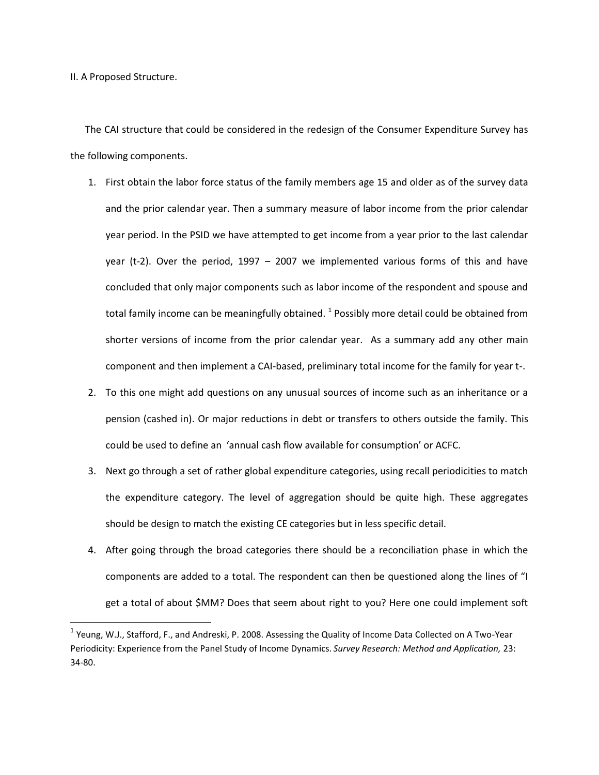II. A Proposed Structure.

l

 The CAI structure that could be considered in the redesign of the Consumer Expenditure Survey has the following components.

- 1. First obtain the labor force status of the family members age 15 and older as of the survey data and the prior calendar year. Then a summary measure of labor income from the prior calendar year period. In the PSID we have attempted to get income from a year prior to the last calendar year (t-2). Over the period, 1997 – 2007 we implemented various forms of this and have concluded that only major components such as labor income of the respondent and spouse and total family income can be meaningfully obtained.  $^1$  Possibly more detail could be obtained from shorter versions of income from the prior calendar year. As a summary add any other main component and then implement a CAI-based, preliminary total income for the family for year t-.
- 2. To this one might add questions on any unusual sources of income such as an inheritance or a pension (cashed in). Or major reductions in debt or transfers to others outside the family. This could be used to define an 'annual cash flow available for consumption' or ACFC.
- 3. Next go through a set of rather global expenditure categories, using recall periodicities to match the expenditure category. The level of aggregation should be quite high. These aggregates should be design to match the existing CE categories but in less specific detail.
- 4. After going through the broad categories there should be a reconciliation phase in which the components are added to a total. The respondent can then be questioned along the lines of "I get a total of about \$MM? Does that seem about right to you? Here one could implement soft

<sup>&</sup>lt;sup>1</sup> Yeung, W.J., Stafford, F., and Andreski, P. 2008. Assessing the Quality of Income Data Collected on A Two-Year Periodicity: Experience from the Panel Study of Income Dynamics. *Survey Research: Method and Application,* 23: 34-80.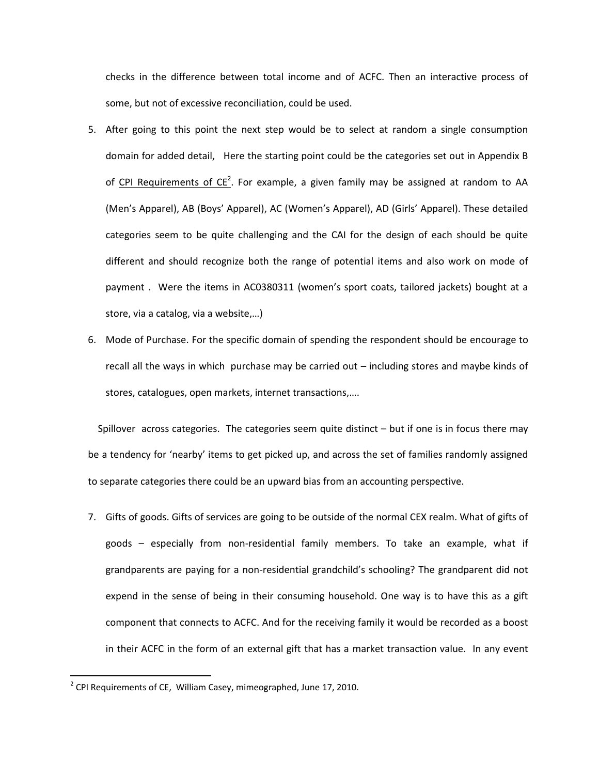checks in the difference between total income and of ACFC. Then an interactive process of some, but not of excessive reconciliation, could be used.

- 5. After going to this point the next step would be to select at random a single consumption domain for added detail, Here the starting point could be the categories set out in Appendix B of  $CPI$  Requirements of  $CE<sup>2</sup>$ . For example, a given family may be assigned at random to AA (Men's Apparel), AB (Boys' Apparel), AC (Women's Apparel), AD (Girls' Apparel). These detailed categories seem to be quite challenging and the CAI for the design of each should be quite different and should recognize both the range of potential items and also work on mode of payment . Were the items in AC0380311 (women's sport coats, tailored jackets) bought at a store, via a catalog, via a website,…)
- 6. Mode of Purchase. For the specific domain of spending the respondent should be encourage to recall all the ways in which purchase may be carried out – including stores and maybe kinds of stores, catalogues, open markets, internet transactions,….

 Spillover across categories. The categories seem quite distinct – but if one is in focus there may be a tendency for 'nearby' items to get picked up, and across the set of families randomly assigned to separate categories there could be an upward bias from an accounting perspective.

7. Gifts of goods. Gifts of services are going to be outside of the normal CEX realm. What of gifts of goods – especially from non-residential family members. To take an example, what if grandparents are paying for a non-residential grandchild's schooling? The grandparent did not expend in the sense of being in their consuming household. One way is to have this as a gift component that connects to ACFC. And for the receiving family it would be recorded as a boost in their ACFC in the form of an external gift that has a market transaction value. In any event

l

 $2^{2}$  CPI Requirements of CE, William Casey, mimeographed, June 17, 2010.